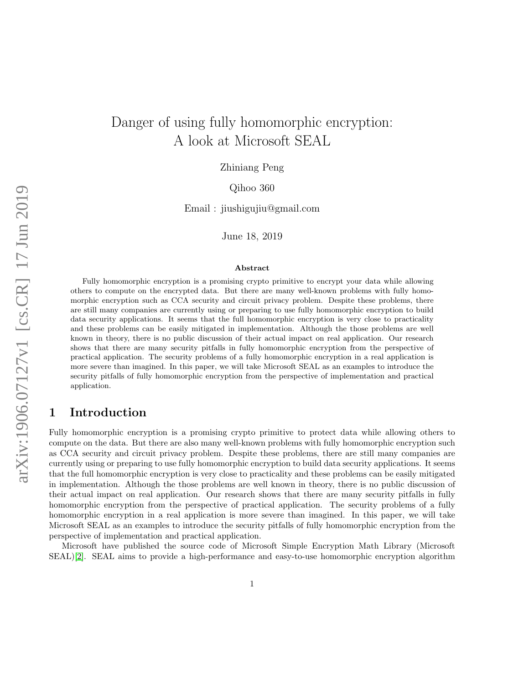# Danger of using fully homomorphic encryption: A look at Microsoft SEAL

Zhiniang Peng

Qihoo 360

Email : jiushigujiu@gmail.com

June 18, 2019

#### Abstract

Fully homomorphic encryption is a promising crypto primitive to encrypt your data while allowing others to compute on the encrypted data. But there are many well-known problems with fully homomorphic encryption such as CCA security and circuit privacy problem. Despite these problems, there are still many companies are currently using or preparing to use fully homomorphic encryption to build data security applications. It seems that the full homomorphic encryption is very close to practicality and these problems can be easily mitigated in implementation. Although the those problems are well known in theory, there is no public discussion of their actual impact on real application. Our research shows that there are many security pitfalls in fully homomorphic encryption from the perspective of practical application. The security problems of a fully homomorphic encryption in a real application is more severe than imagined. In this paper, we will take Microsoft SEAL as an examples to introduce the security pitfalls of fully homomorphic encryption from the perspective of implementation and practical application.

# 1 Introduction

Fully homomorphic encryption is a promising crypto primitive to protect data while allowing others to compute on the data. But there are also many well-known problems with fully homomorphic encryption such as CCA security and circuit privacy problem. Despite these problems, there are still many companies are currently using or preparing to use fully homomorphic encryption to build data security applications. It seems that the full homomorphic encryption is very close to practicality and these problems can be easily mitigated in implementation. Although the those problems are well known in theory, there is no public discussion of their actual impact on real application. Our research shows that there are many security pitfalls in fully homomorphic encryption from the perspective of practical application. The security problems of a fully homomorphic encryption in a real application is more severe than imagined. In this paper, we will take Microsoft SEAL as an examples to introduce the security pitfalls of fully homomorphic encryption from the perspective of implementation and practical application.

Microsoft have published the source code of Microsoft Simple Encryption Math Library (Microsoft SEAL)[\[2\]](#page-13-0). SEAL aims to provide a high-performance and easy-to-use homomorphic encryption algorithm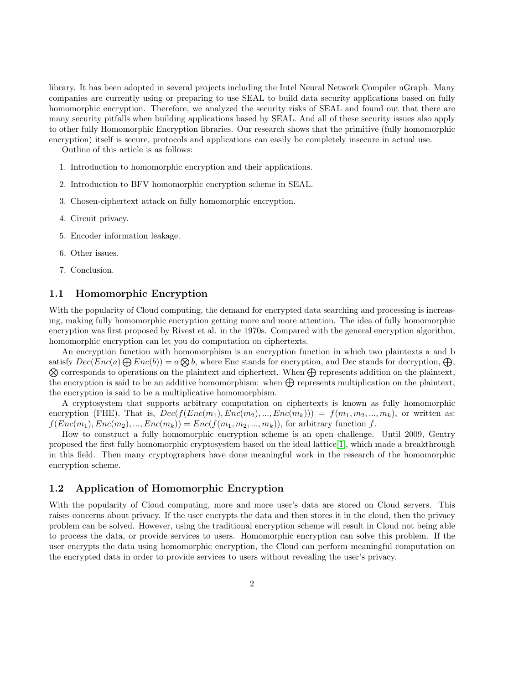library. It has been adopted in several projects including the Intel Neural Network Compiler nGraph. Many companies are currently using or preparing to use SEAL to build data security applications based on fully homomorphic encryption. Therefore, we analyzed the security risks of SEAL and found out that there are many security pitfalls when building applications based by SEAL. And all of these security issues also apply to other fully Homomorphic Encryption libraries. Our research shows that the primitive (fully homomorphic encryption) itself is secure, protocols and applications can easily be completely insecure in actual use.

Outline of this article is as follows:

- 1. Introduction to homomorphic encryption and their applications.
- 2. Introduction to BFV homomorphic encryption scheme in SEAL.
- 3. Chosen-ciphertext attack on fully homomorphic encryption.
- 4. Circuit privacy.
- 5. Encoder information leakage.
- 6. Other issues.
- 7. Conclusion.

### 1.1 Homomorphic Encryption

With the popularity of Cloud computing, the demand for encrypted data searching and processing is increasing, making fully homomorphic encryption getting more and more attention. The idea of fully homomorphic encryption was first proposed by Rivest et al. in the 1970s. Compared with the general encryption algorithm, homomorphic encryption can let you do computation on ciphertexts.

An encryption function with homomorphism is an encryption function in which two plaintexts a and b satisfy  $Dec(Enc(a) \bigoplus Enc(b)) = a \bigotimes b$ , where Enc stands for encryption, and Dec stands for decryption,  $\bigoplus$ satisfy  $Dec(Enc(a) \bigoplus Enc(b)) = a \bigotimes b$ , where Enc stands for encryption, and Dec stands for decryption,  $\bigoplus$ ,  $\bigotimes$  corresponds to operations on the plaintext and ciphertext. When  $\bigoplus$  represents addition on the plaintext, the encryption is said to be an additive homomorphism: when  $\bigoplus$  represents multiplication on the plaintext, the encryption is said to be a multiplicative homomorphism.

A cryptosystem that supports arbitrary computation on ciphertexts is known as fully homomorphic encryption (FHE). That is,  $Dec(f(Enc(m_1), Enc(m_2), ..., Enc(m_k))) = f(m_1, m_2, ..., m_k)$ , or written as:  $f(Enc(m_1), Enc(m_2), ..., Enc(m_k)) = Enc(f(m_1, m_2, ..., m_k))$ , for arbitrary function f.

How to construct a fully homomorphic encryption scheme is an open challenge. Until 2009, Gentry proposed the first fully homomorphic cryptosystem based on the ideal lattice[\[1\]](#page-13-1), which made a breakthrough in this field. Then many cryptographers have done meaningful work in the research of the homomorphic encryption scheme.

### 1.2 Application of Homomorphic Encryption

With the popularity of Cloud computing, more and more user's data are stored on Cloud servers. This raises concerns about privacy. If the user encrypts the data and then stores it in the cloud, then the privacy problem can be solved. However, using the traditional encryption scheme will result in Cloud not being able to process the data, or provide services to users. Homomorphic encryption can solve this problem. If the user encrypts the data using homomorphic encryption, the Cloud can perform meaningful computation on the encrypted data in order to provide services to users without revealing the user's privacy.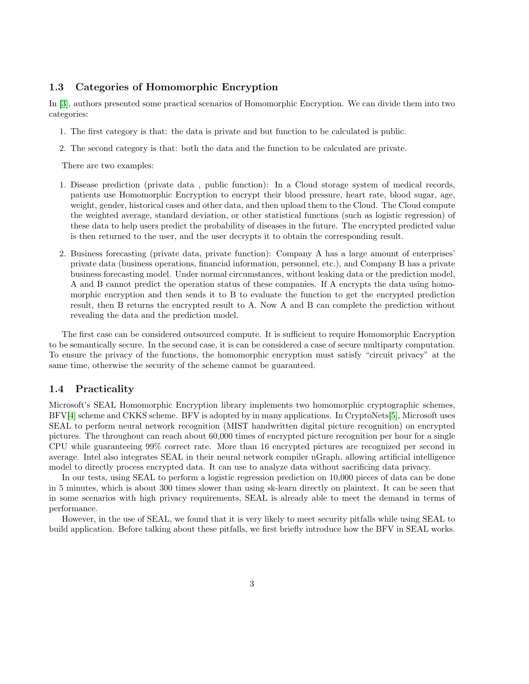### 1.3 Categories of Homomorphic Encryption

In [\[3\]](#page-13-2), authors presented some practical scenarios of Homomorphic Encryption. We can divide them into two categories:

- 1. The first category is that: the data is private and but function to be calculated is public.
- 2. The second category is that: both the data and the function to be calculated are private.

There are two examples:

- 1. Disease prediction (private data , public function): In a Cloud storage system of medical records, patients use Homomorphic Encryption to encrypt their blood pressure, heart rate, blood sugar, age, weight, gender, historical cases and other data, and then upload them to the Cloud. The Cloud compute the weighted average, standard deviation, or other statistical functions (such as logistic regression) of these data to help users predict the probability of diseases in the future. The encrypted predicted value is then returned to the user, and the user decrypts it to obtain the corresponding result.
- 2. Business forecasting (private data, private function): Company A has a large amount of enterprises' private data (business operations, financial information, personnel, etc.), and Company B has a private business forecasting model. Under normal circumstances, without leaking data or the prediction model, A and B cannot predict the operation status of these companies. If A encrypts the data using homomorphic encryption and then sends it to B to evaluate the function to get the encrypted prediction result, then B returns the encrypted result to A. Now A and B can complete the prediction without revealing the data and the prediction model.

The first case can be considered outsourced compute. It is sufficient to require Homomorphic Encryption to be semantically secure. In the second case, it is can be considered a case of secure multiparty computation. To ensure the privacy of the functions, the homomorphic encryption must satisfy "circuit privacy" at the same time, otherwise the security of the scheme cannot be guaranteed.

#### 1.4 Practicality

Microsoft's SEAL Homomorphic Encryption library implements two homomorphic cryptographic schemes, BFV[\[4\]](#page-13-3) scheme and CKKS scheme. BFV is adopted by in many applications. In CryptoNets[\[5\]](#page-13-4), Microsoft uses SEAL to perform neural network recognition (MIST handwritten digital picture recognition) on encrypted pictures. The throughout can reach about 60,000 times of encrypted picture recognition per hour for a single CPU while guaranteeing 99% correct rate. More than 16 encrypted pictures are recognized per second in average. Intel also integrates SEAL in their neural network compiler nGraph, allowing artificial intelligence model to directly process encrypted data. It can use to analyze data without sacrificing data privacy.

In our tests, using SEAL to perform a logistic regression prediction on 10,000 pieces of data can be done in 5 minutes, which is about 300 times slower than using sk-learn directly on plaintext. It can be seen that in some scenarios with high privacy requirements, SEAL is already able to meet the demand in terms of performance.

However, in the use of SEAL, we found that it is very likely to meet security pitfalls while using SEAL to build application. Before talking about these pitfalls, we first briefly introduce how the BFV in SEAL works.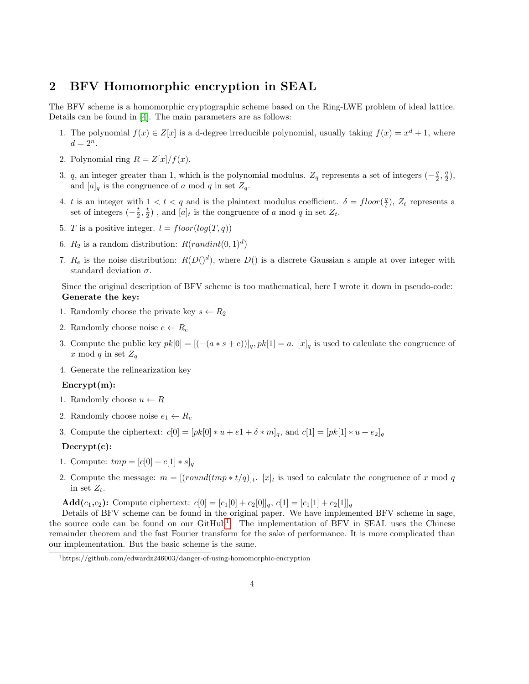### 2 BFV Homomorphic encryption in SEAL

The BFV scheme is a homomorphic cryptographic scheme based on the Ring-LWE problem of ideal lattice. Details can be found in [\[4\]](#page-13-3). The main parameters are as follows:

- 1. The polynomial  $f(x) \in Z[x]$  is a d-degree irreducible polynomial, usually taking  $f(x) = x^d + 1$ , where  $d=2^n$ .
- 2. Polynomial ring  $R = Z[x]/f(x)$ .
- 3. q, an integer greater than 1, which is the polynomial modulus.  $Z_q$  represents a set of integers  $(-\frac{q}{2}, \frac{q}{2})$ , and  $[a]_q$  is the congruence of a mod q in set  $Z_q$ .
- 4. t is an integer with  $1 < t < q$  and is the plaintext modulus coefficient.  $\delta = floor(\frac{q}{t})$ ,  $Z_t$  represents a set of integers  $(-\frac{t}{2},\frac{t}{2})$ , and  $[a]_t$  is the congruence of a mod q in set  $Z_t$ .
- 5. T is a positive integer.  $l = floor(log(T, q))$
- 6.  $R_2$  is a random distribution:  $R(randint(0,1)^d)$
- 7.  $R_e$  is the noise distribution:  $R(D()^d)$ , where  $D()$  is a discrete Gaussian s ample at over integer with standard deviation  $\sigma$ .

Since the original description of BFV scheme is too mathematical, here I wrote it down in pseudo-code: Generate the key:

- 1. Randomly choose the private key  $s \leftarrow R_2$
- 2. Randomly choose noise  $e \leftarrow R_e$
- 3. Compute the public key  $pk[0] = [(-(a*s+e))]_q, pk[1] = a$ .  $[x]_q$  is used to calculate the congruence of x mod q in set  $Z_q$
- 4. Generate the relinearization key

#### Encrypt(m):

- 1. Randomly choose  $u \leftarrow R$
- 2. Randomly choose noise  $e_1 \leftarrow R_e$
- 3. Compute the ciphertext:  $c[0] = [pk[0] * u + e^1 + \delta * m]_q$ , and  $c[1] = [pk[1] * u + e^1]_q$

#### Decrypt(c):

- 1. Compute:  $tmp = [c[0] + c[1] * s]_q$
- 2. Compute the message:  $m = [(roundtmp * t/q)]_t$ . [x]<sub>t</sub> is used to calculate the congruence of x mod q in set  $Z_t$ .

**Add**(c<sub>1</sub>,c<sub>2</sub>): Compute ciphertext:  $c[0] = [c_1[0] + c_2[0]]_q$ ,  $c[1] = [c_1[1] + c_2[1]]_q$ 

Details of BFV scheme can be found in the original paper. We have implemented BFV scheme in sage, the source code can be found on our GitHub<sup>[1](#page-3-0)</sup>. The implementation of BFV in SEAL uses the Chinese remainder theorem and the fast Fourier transform for the sake of performance. It is more complicated than our implementation. But the basic scheme is the same.

<span id="page-3-0"></span><sup>1</sup>https://github.com/edwardz246003/danger-of-using-homomorphic-encryption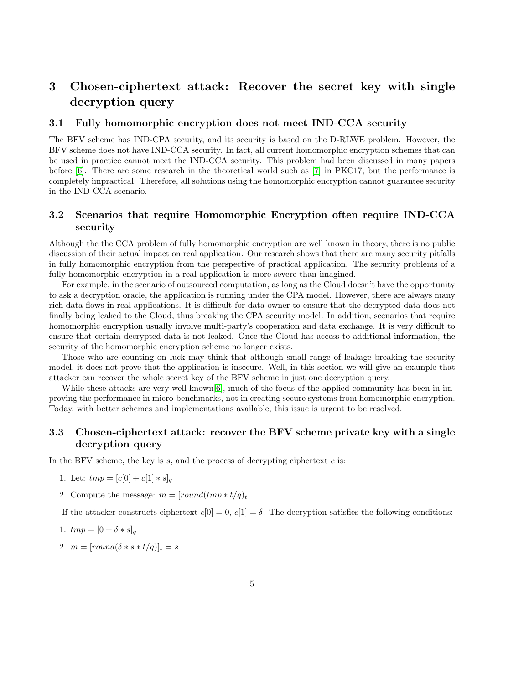# 3 Chosen-ciphertext attack: Recover the secret key with single decryption query

### 3.1 Fully homomorphic encryption does not meet IND-CCA security

The BFV scheme has IND-CPA security, and its security is based on the D-RLWE problem. However, the BFV scheme does not have IND-CCA security. In fact, all current homomorphic encryption schemes that can be used in practice cannot meet the IND-CCA security. This problem had been discussed in many papers before [\[6\]](#page-13-5). There are some research in the theoretical world such as [\[7\]](#page-13-6) in PKC17, but the performance is completely impractical. Therefore, all solutions using the homomorphic encryption cannot guarantee security in the IND-CCA scenario.

### 3.2 Scenarios that require Homomorphic Encryption often require IND-CCA security

Although the the CCA problem of fully homomorphic encryption are well known in theory, there is no public discussion of their actual impact on real application. Our research shows that there are many security pitfalls in fully homomorphic encryption from the perspective of practical application. The security problems of a fully homomorphic encryption in a real application is more severe than imagined.

For example, in the scenario of outsourced computation, as long as the Cloud doesn't have the opportunity to ask a decryption oracle, the application is running under the CPA model. However, there are always many rich data flows in real applications. It is difficult for data-owner to ensure that the decrypted data does not finally being leaked to the Cloud, thus breaking the CPA security model. In addition, scenarios that require homomorphic encryption usually involve multi-party's cooperation and data exchange. It is very difficult to ensure that certain decrypted data is not leaked. Once the Cloud has access to additional information, the security of the homomorphic encryption scheme no longer exists.

Those who are counting on luck may think that although small range of leakage breaking the security model, it does not prove that the application is insecure. Well, in this section we will give an example that attacker can recover the whole secret key of the BFV scheme in just one decryption query.

While these attacks are very well known[\[6\]](#page-13-5), much of the focus of the applied community has been in improving the performance in micro-benchmarks, not in creating secure systems from homomorphic encryption. Today, with better schemes and implementations available, this issue is urgent to be resolved.

### 3.3 Chosen-ciphertext attack: recover the BFV scheme private key with a single decryption query

In the BFV scheme, the key is  $s$ , and the process of decrypting ciphertext  $c$  is:

- 1. Let:  $tmp = [c[0] + c[1] * s]_q$
- 2. Compute the message:  $m = [round(tmp * t/q)_t]$

If the attacker constructs ciphertext  $c[0] = 0$ ,  $c[1] = \delta$ . The decryption satisfies the following conditions:

1. 
$$
tmp = [0 + \delta * s]_q
$$

2.  $m = [round(\delta * s * t/q)]_t = s$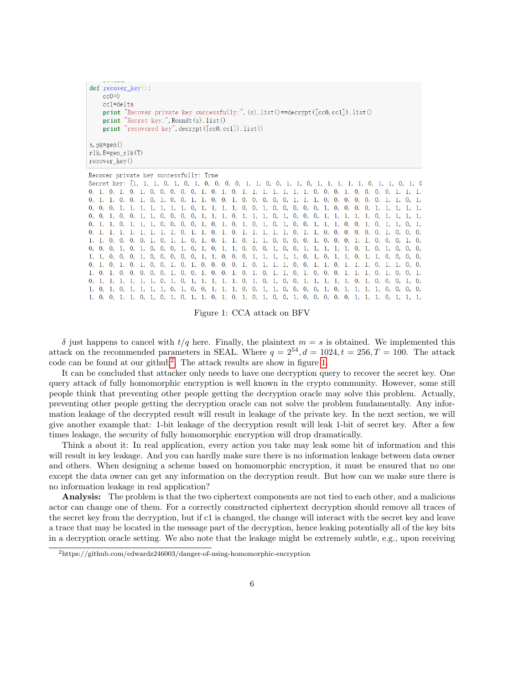```
def recover_key():
    cc0=0cc1 = de1taprint "Recover private key successfully:", (s). list()==decrypt([cc0, cc1]). list()
    print "Secret key:", Roundt(s). list()
    print "recovered key", decrypt ([cc0, cc1]). list ()
s, pk = gen()rlk, E=gen_rlk(T)recover_{key}()
```
Recover private key successfully: True Secret key: [1, 1, 1, 0, 1, 0, 1, 0, 0, 0, 0, 1, 1, 0, 0, 1, 1, 0, 1, 1, 1, 1, 1, 0, 1, 1, 0, 1, 1, 0 0, 1, 0, 1, 0, 1, 0, 0, 0, 0, 1, 0, 1, 0, 1, 1, 1, 1, 1, 1, 1, 1, 0, 0, 0, 1, 0, 0, 0, 1, 1, 1,  $0,\quad 1,\quad 1,\quad 0,\quad 0,\quad 1,\quad 0,\quad 1,\quad 0,\quad 0,\quad 1,\quad 1,\quad 0,\quad 0,\quad 1,\quad 0,\quad 0,\quad 0,\quad 0,\quad 0,\quad 0,\quad 1,\quad 1,\quad 1,\quad 0,\quad 0,\quad 0,\quad 0,\quad 0,\quad 0,\quad 0,\quad 1,\quad 1,\quad 0,\quad 1,$ 0, 0, 0, 1, 1, 1, 1, 1, 1, 1, 0, 1, 1, 1, 0, 0, 1, 0, 0, 0, 0, 0, 0, 0, 0, 0, 0, 0, 1, 1, 1, 1, 1, 0, 0, 1, 0, 0, 1, 1, 0, 0, 0, 0, 1, 1, 1, 0, 1, 1, 1, 0, 1, 0, 1, 0, 0, 0, 1, 1, 1, 1, 1, 0, 1, 1, 1, 1, 1,  $\Omega$ .  $1,\quad 1,\quad 1,\quad 1,\quad 1,\quad 1,\quad 1,\quad 1,\quad 0,\quad 1,\quad 1,\quad 0,\quad 1,\quad 0,\quad 1,\quad 1,\quad 1,\quad 1,\quad 1,\quad 1,\quad 0,\quad 1,\quad 1,\quad 0,\quad 0,\quad 0,\quad 0,\quad 0,\quad 0,\quad 0,\quad 0,\quad 1,\quad 0,\quad 0,\quad 0,\quad 0,$ 1, 1, 0, 0, 0, 1, 0, 1, 1, 0, 1, 1, 0, 1, 1, 0, 1, 1, 0, 0, 0, 0, 1, 0, 0, 0, 1, 1, 0, 0, 0, 1, 1, 0, 0, 0, 1, 0, 0, 0, 0, 1, 0, 1, 0, 0, 0, 1, 0, 1, 0, 1, 1, 0, 0, 0, 1, 0, 0, 1, 1, 1, 1, 1, 0, 1, 0, 1, 0, 0, 0, 0,  $1,\quad 1,\quad 0,\quad 0,\quad 0,\quad 1,\quad 0,\quad 0,\quad 0,\quad 0,\quad 0,\quad 1,\quad 1,\quad 0,\quad 0,\quad 0,\quad 1,\quad 1,\quad 1,\quad 1,\quad 1,\quad 1,\quad 0,\quad 1,\quad 0,\quad 1,\quad 1,\quad 0,\quad 1,\quad 1,\quad 0,\quad 0,\quad 0,\quad 0,\quad 0,\quad 0,$ 1, 0, 1, 0, 0, 0, 0, 0, 1, 0, 0, 1, 0, 0, 1, 0, 1, 1, 0, 1, 0, 0, 0, 1, 1, 1, 0, 1, 0, 0, 0, 1, 1, 0, 0, 1,  $0,\quad 1,\quad 1,\quad 1,\quad 1,\quad 1,\quad 1,\quad 0,\quad 1,\quad 0,\quad 1,\quad 1,\quad 1,\quad 1,\quad 1,\quad 0,\quad 1,\quad 0,\quad 1,\quad 0,\quad 0,\quad 0,\quad 1,\quad 1,\quad 1,\quad 1,\quad 1,\quad 1,\quad 0,\quad 1,\quad 0,\quad 0,\quad 0,\quad 0,\quad 1,\quad 0,$ 

Figure 1: CCA attack on BFV

δ just happens to cancel with t/q here. Finally, the plaintext m = s is obtained. We implemented this attack on the recommended parameters in SEAL. Where  $q = 2^{54}$ ,  $d = 1024$ ,  $t = 256$ ,  $T = 100$ . The attack code can be found at our github[2](#page-5-0) . The attack results are show in figure [1.](#page-5-1)

It can be concluded that attacker only needs to have one decryption query to recover the secret key. One query attack of fully homomorphic encryption is well known in the crypto community. However, some still people think that preventing other people getting the decryption oracle may solve this problem. Actually, preventing other people getting the decryption oracle can not solve the problem fundamentally. Any information leakage of the decrypted result will result in leakage of the private key. In the next section, we will give another example that: 1-bit leakage of the decryption result will leak 1-bit of secret key. After a few times leakage, the security of fully homomorphic encryption will drop dramatically.

Think a about it: In real application, every action you take may leak some bit of information and this will result in key leakage. And you can hardly make sure there is no information leakage between data owner and others. When designing a scheme based on homomorphic encryption, it must be ensured that no one except the data owner can get any information on the decryption result. But how can we make sure there is no information leakage in real application?

Analysis: The problem is that the two ciphertext components are not tied to each other, and a malicious actor can change one of them. For a correctly constructed ciphertext decryption should remove all traces of the secret key from the decryption, but if c1 is changed, the change will interact with the secret key and leave a trace that may be located in the message part of the decryption, hence leaking potentially all of the key bits in a decryption oracle setting. We also note that the leakage might be extremely subtle, e.g., upon receiving

<span id="page-5-0"></span><sup>2</sup>https://github.com/edwardz246003/danger-of-using-homomorphic-encryption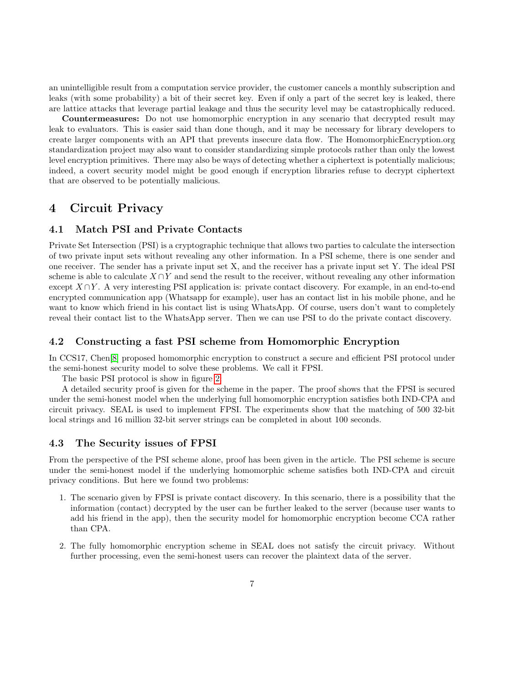an unintelligible result from a computation service provider, the customer cancels a monthly subscription and leaks (with some probability) a bit of their secret key. Even if only a part of the secret key is leaked, there are lattice attacks that leverage partial leakage and thus the security level may be catastrophically reduced.

Countermeasures: Do not use homomorphic encryption in any scenario that decrypted result may leak to evaluators. This is easier said than done though, and it may be necessary for library developers to create larger components with an API that prevents insecure data flow. The HomomorphicEncryption.org standardization project may also want to consider standardizing simple protocols rather than only the lowest level encryption primitives. There may also be ways of detecting whether a ciphertext is potentially malicious; indeed, a covert security model might be good enough if encryption libraries refuse to decrypt ciphertext that are observed to be potentially malicious.

### 4 Circuit Privacy

### 4.1 Match PSI and Private Contacts

Private Set Intersection (PSI) is a cryptographic technique that allows two parties to calculate the intersection of two private input sets without revealing any other information. In a PSI scheme, there is one sender and one receiver. The sender has a private input set X, and the receiver has a private input set Y. The ideal PSI scheme is able to calculate  $X \cap Y$  and send the result to the receiver, without revealing any other information except  $X \cap Y$ . A very interesting PSI application is: private contact discovery. For example, in an end-to-end encrypted communication app (Whatsapp for example), user has an contact list in his mobile phone, and he want to know which friend in his contact list is using WhatsApp. Of course, users don't want to completely reveal their contact list to the WhatsApp server. Then we can use PSI to do the private contact discovery.

#### 4.2 Constructing a fast PSI scheme from Homomorphic Encryption

In CCS17, Chen[\[8\]](#page-13-7) proposed homomorphic encryption to construct a secure and efficient PSI protocol under the semi-honest security model to solve these problems. We call it FPSI.

The basic PSI protocol is show in figure [2:](#page-7-0)

A detailed security proof is given for the scheme in the paper. The proof shows that the FPSI is secured under the semi-honest model when the underlying full homomorphic encryption satisfies both IND-CPA and circuit privacy. SEAL is used to implement FPSI. The experiments show that the matching of 500 32-bit local strings and 16 million 32-bit server strings can be completed in about 100 seconds.

#### 4.3 The Security issues of FPSI

From the perspective of the PSI scheme alone, proof has been given in the article. The PSI scheme is secure under the semi-honest model if the underlying homomorphic scheme satisfies both IND-CPA and circuit privacy conditions. But here we found two problems:

- 1. The scenario given by FPSI is private contact discovery. In this scenario, there is a possibility that the information (contact) decrypted by the user can be further leaked to the server (because user wants to add his friend in the app), then the security model for homomorphic encryption become CCA rather than CPA.
- 2. The fully homomorphic encryption scheme in SEAL does not satisfy the circuit privacy. Without further processing, even the semi-honest users can recover the plaintext data of the server.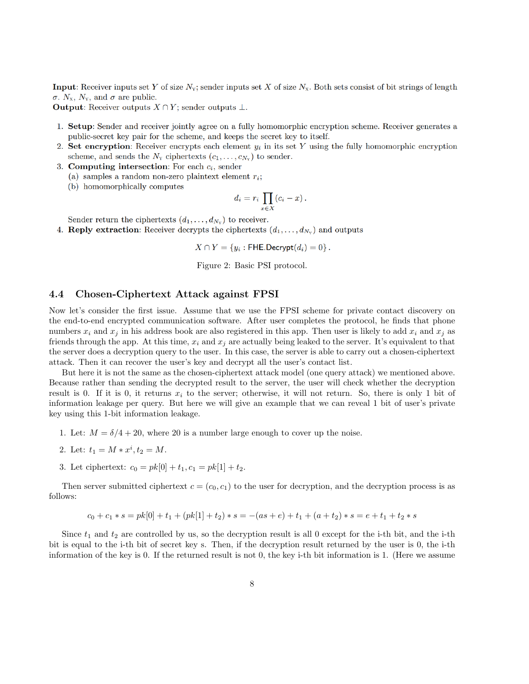<span id="page-7-0"></span>**Input:** Receiver inputs set Y of size  $N_x$ ; sender inputs set X of size  $N_x$ . Both sets consist of bit strings of length  $\sigma$ . N<sub>x</sub>, N<sub>y</sub>, and  $\sigma$  are public.

**Output:** Receiver outputs  $X \cap Y$ ; sender outputs  $\perp$ .

- 1. Setup: Sender and receiver jointly agree on a fully homomorphic encryption scheme. Receiver generates a public-secret key pair for the scheme, and keeps the secret key to itself.
- 2. Set encryption: Receiver encrypts each element  $y_i$  in its set Y using the fully homomorphic encryption scheme, and sends the  $N_Y$  ciphertexts  $(c_1, \ldots, c_{N_Y})$  to sender.
- 3. Computing intersection: For each  $c_i$ , sender
	- (a) samples a random non-zero plaintext element  $r_i$ ;
	- (b) homomorphically computes

$$
d_i = r_i \prod_{x \in X} (c_i - x)
$$

Sender return the ciphertexts  $(d_1, \ldots, d_{N_v})$  to receiver.

4. **Reply extraction**: Receiver decrypts the ciphertexts  $(d_1, \ldots, d_{N_v})$  and outputs

 $X \cap Y = \{y_i : \mathsf{FHE}.\mathsf{Decrypt}(d_i) = 0\}$ .

Figure 2: Basic PSI protocol.

#### 4.4 Chosen-Ciphertext Attack against FPSI

Now let's consider the first issue. Assume that we use the FPSI scheme for private contact discovery on the end-to-end encrypted communication software. After user completes the protocol, he finds that phone numbers  $x_i$  and  $x_j$  in his address book are also registered in this app. Then user is likely to add  $x_i$  and  $x_j$  as friends through the app. At this time,  $x_i$  and  $x_j$  are actually being leaked to the server. It's equivalent to that the server does a decryption query to the user. In this case, the server is able to carry out a chosen-ciphertext attack. Then it can recover the user's key and decrypt all the user's contact list.

But here it is not the same as the chosen-ciphertext attack model (one query attack) we mentioned above. Because rather than sending the decrypted result to the server, the user will check whether the decryption result is 0. If it is 0, it returns  $x_i$  to the server; otherwise, it will not return. So, there is only 1 bit of information leakage per query. But here we will give an example that we can reveal 1 bit of user's private key using this 1-bit information leakage.

- 1. Let:  $M = \delta/4 + 20$ , where 20 is a number large enough to cover up the noise.
- 2. Let:  $t_1 = M * x^i, t_2 = M$ .
- 3. Let ciphertext:  $c_0 = pk[0] + t_1, c_1 = pk[1] + t_2.$

Then server submitted ciphertext  $c = (c_0, c_1)$  to the user for decryption, and the decryption process is as follows:

$$
c_0 + c_1 * s = pk[0] + t_1 + (pk[1] + t_2) * s = -(as + e) + t_1 + (a + t_2) * s = e + t_1 + t_2 * s
$$

Since  $t_1$  and  $t_2$  are controlled by us, so the decryption result is all 0 except for the i-th bit, and the i-th bit is equal to the i-th bit of secret key s. Then, if the decryption result returned by the user is 0, the i-th information of the key is 0. If the returned result is not 0, the key i-th bit information is 1. (Here we assume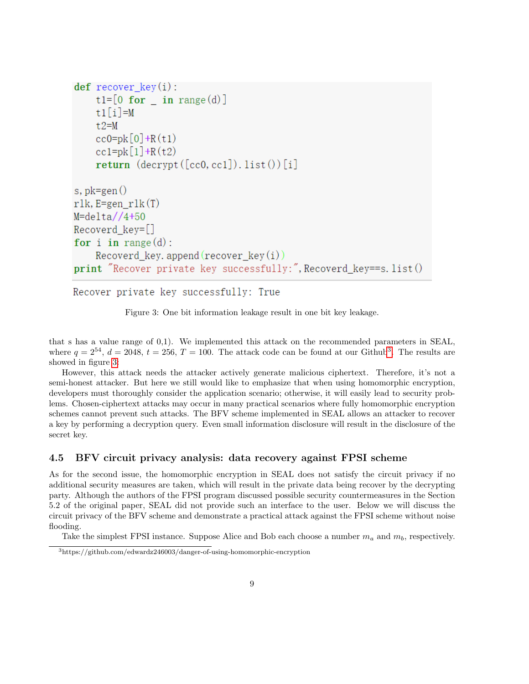```
def recover key(i):
    t1=[0 for in range(d)]t1[i]=M
    t.2=Mcc0 = pk[0] + R(t1)cc1 = pk[1] + R(t2)return (decrypt([cc0, cc1]).list())[i]s, pk = gen()rlk, E=gen rlk(T)M = delta//4+50Recoverd key=[]
for i in range(d):
    Recoverd key. append (recover key(i))print "Recover private key successfully:", Recoverd key==s. list()
```
Recover private key successfully: True

Figure 3: One bit information leakage result in one bit key leakage.

that s has a value range of 0,1). We implemented this attack on the recommended parameters in SEAL, where  $q = 2^{54}$ ,  $d = 2048$ ,  $t = 256$ ,  $T = 100$ . The attack code can be found at our Github<sup>[3](#page-8-0)</sup>. The results are showed in figure [3:](#page-8-1)

However, this attack needs the attacker actively generate malicious ciphertext. Therefore, it's not a semi-honest attacker. But here we still would like to emphasize that when using homomorphic encryption, developers must thoroughly consider the application scenario; otherwise, it will easily lead to security problems. Chosen-ciphertext attacks may occur in many practical scenarios where fully homomorphic encryption schemes cannot prevent such attacks. The BFV scheme implemented in SEAL allows an attacker to recover a key by performing a decryption query. Even small information disclosure will result in the disclosure of the secret key.

#### 4.5 BFV circuit privacy analysis: data recovery against FPSI scheme

As for the second issue, the homomorphic encryption in SEAL does not satisfy the circuit privacy if no additional security measures are taken, which will result in the private data being recover by the decrypting party. Although the authors of the FPSI program discussed possible security countermeasures in the Section 5.2 of the original paper, SEAL did not provide such an interface to the user. Below we will discuss the circuit privacy of the BFV scheme and demonstrate a practical attack against the FPSI scheme without noise flooding.

Take the simplest FPSI instance. Suppose Alice and Bob each choose a number  $m_a$  and  $m_b$ , respectively.

<span id="page-8-0"></span><sup>3</sup>https://github.com/edwardz246003/danger-of-using-homomorphic-encryption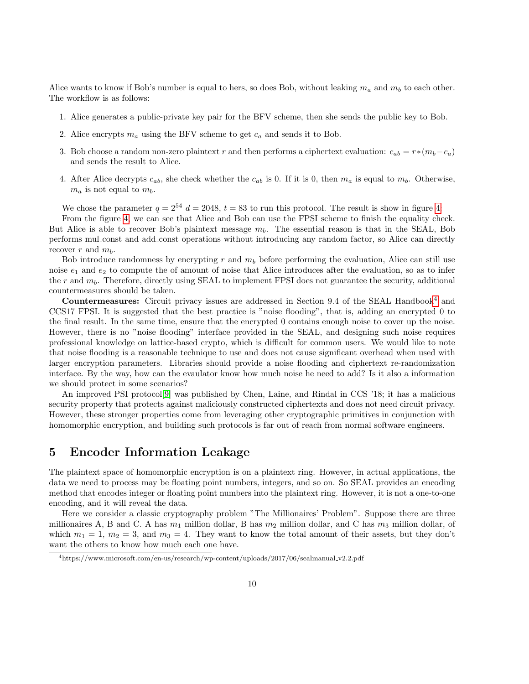Alice wants to know if Bob's number is equal to hers, so does Bob, without leaking  $m_a$  and  $m_b$  to each other. The workflow is as follows:

- 1. Alice generates a public-private key pair for the BFV scheme, then she sends the public key to Bob.
- 2. Alice encrypts  $m_a$  using the BFV scheme to get  $c_a$  and sends it to Bob.
- 3. Bob choose a random non-zero plaintext r and then performs a ciphertext evaluation:  $c_{ab} = r*(m_b-c_a)$ and sends the result to Alice.
- 4. After Alice decrypts  $c_{ab}$ , she check whether the  $c_{ab}$  is 0. If it is 0, then  $m_a$  is equal to  $m_b$ . Otherwise,  $m_a$  is not equal to  $m_b$ .

We chose the parameter  $q = 2^{54} d = 2048$ ,  $t = 83$  to run this protocol. The result is show in figure [4:](#page-10-0)

From the figure [4,](#page-10-0) we can see that Alice and Bob can use the FPSI scheme to finish the equality check. But Alice is able to recover Bob's plaintext message  $m_b$ . The essential reason is that in the SEAL, Bob performs mul const and add const operations without introducing any random factor, so Alice can directly recover r and  $m_b$ .

Bob introduce randomness by encrypting r and  $m<sub>b</sub>$  before performing the evaluation, Alice can still use noise  $e_1$  and  $e_2$  to compute the of amount of noise that Alice introduces after the evaluation, so as to infer the  $r$  and  $m_b$ . Therefore, directly using SEAL to implement FPSI does not guarantee the security, additional countermeasures should be taken.

Countermeasures: Circuit privacy issues are addressed in Section 9.[4](#page-9-0) of the SEAL Handbook<sup>4</sup> and CCS17 FPSI. It is suggested that the best practice is "noise flooding", that is, adding an encrypted 0 to the final result. In the same time, ensure that the encrypted 0 contains enough noise to cover up the noise. However, there is no "noise flooding" interface provided in the SEAL, and designing such noise requires professional knowledge on lattice-based crypto, which is difficult for common users. We would like to note that noise flooding is a reasonable technique to use and does not cause significant overhead when used with larger encryption parameters. Libraries should provide a noise flooding and ciphertext re-randomization interface. By the way, how can the evaulator know how much noise he need to add? Is it also a information we should protect in some scenarios?

An improved PSI protocol[\[9\]](#page-13-8) was published by Chen, Laine, and Rindal in CCS '18; it has a malicious security property that protects against maliciously constructed ciphertexts and does not need circuit privacy. However, these stronger properties come from leveraging other cryptographic primitives in conjunction with homomorphic encryption, and building such protocols is far out of reach from normal software engineers.

### 5 Encoder Information Leakage

The plaintext space of homomorphic encryption is on a plaintext ring. However, in actual applications, the data we need to process may be floating point numbers, integers, and so on. So SEAL provides an encoding method that encodes integer or floating point numbers into the plaintext ring. However, it is not a one-to-one encoding, and it will reveal the data.

Here we consider a classic cryptography problem "The Millionaires' Problem". Suppose there are three millionaires A, B and C. A has  $m_1$  million dollar, B has  $m_2$  million dollar, and C has  $m_3$  million dollar, of which  $m_1 = 1$ ,  $m_2 = 3$ , and  $m_3 = 4$ . They want to know the total amount of their assets, but they don't want the others to know how much each one have.

<span id="page-9-0"></span><sup>4</sup>https://www.microsoft.com/en-us/research/wp-content/uploads/2017/06/sealmanual v2.2.pdf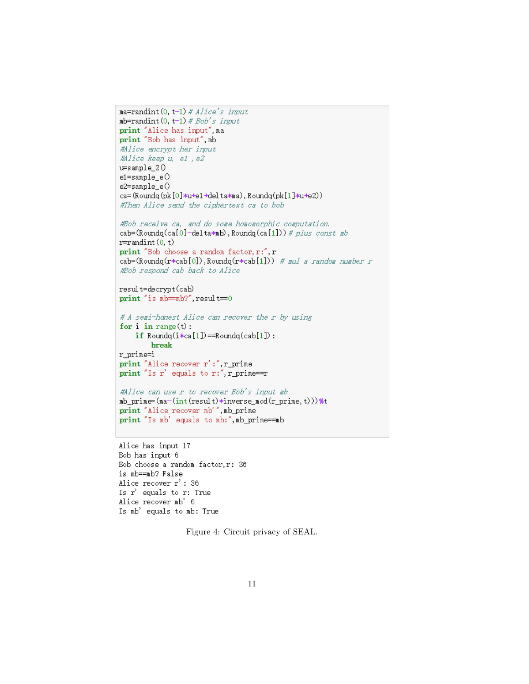```
max=randint(0, t-1) # Alice's input
mb=randint (0, t-1) # Bob's input
print "Alice has input", ma
print "Bob has input", mb
#Alice encrypt her input
#Alice keep u, el, e2
u = \text{sample}_2 0e1 = sample_e()e2 = sample_e()ca=(Roundq(pk[0]*u+e1+delta*ma), Roundq(pk[1]*u+e2))
#Then Alice send the ciphertext ca to bob
#Bob receive ca, and do some homomorphic computation.
cab=(Roundq(ca[0]-delta*mb), Roundq(ca[1])) # plus_const_mb
r = \text{randint}(0, t)print "Bob choose a random factor, r:", r
cab=(Roundq(r*cab[0]), Roundq(r*cab[1])) # mul a random number r
#Bob respond cab back to Alice
result=decrypt(cab)
print "is nb = nb?", result = 0# A semi-honest Alice can recover the r by using
for i in range(t):
    if Roundq(i*ca[1]) == Roundq(cab[1]):
        break
r\_prime = iprint "Alice recover r':", r_prime
print "Is r' equals to r:", r_prime==r
#Alice can use r to recover Bob's input mb
mb\_prime = (ma - (int (result) * inverse_mod(r\_prime, t))) %t
print "Alice recover mb'", mb_prime
print "Is mb' equals to mb:", mb_prime==mb
```
Alice has input 17 Bob has input 6 Bob choose a random factor, r: 36 is mb==mb? False Alice recover r': 36 Is r' equals to r: True Alice recover mb' 6 Is mb' equals to mb: True

Figure 4: Circuit privacy of SEAL.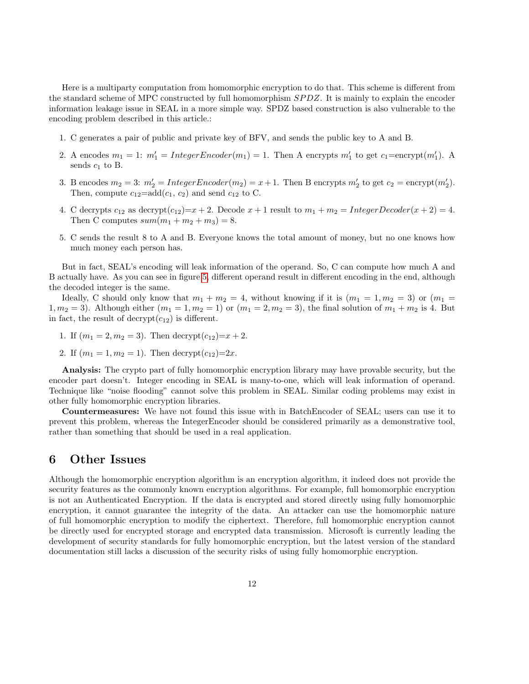Here is a multiparty computation from homomorphic encryption to do that. This scheme is different from the standard scheme of MPC constructed by full homomorphism  $SPDZ$ . It is mainly to explain the encoder information leakage issue in SEAL in a more simple way. SPDZ based construction is also vulnerable to the encoding problem described in this article.:

- 1. C generates a pair of public and private key of BFV, and sends the public key to A and B.
- 2. A encodes  $m_1 = 1$ :  $m'_1 = IntegerEncoder(m_1) = 1$ . Then A encrypts  $m'_1$  to get  $c_1 = \text{encrypt}(m'_1)$ . A sends  $c_1$  to B.
- 3. B encodes  $m_2 = 3$ :  $m'_2 = IntegerEncoder(m_2) = x + 1$ . Then B encrypts  $m'_2$  to get  $c_2 = \text{encrypt}(m'_2)$ . Then, compute  $c_{12} = \text{add}(c_1, c_2)$  and send  $c_{12}$  to C.
- 4. C decrypts  $c_{12}$  as decrypt $(c_{12})=x+2$ . Decode  $x+1$  result to  $m_1+m_2=InterDecoder(x+2)=4$ . Then C computes  $sum(m_1 + m_2 + m_3) = 8$ .
- 5. C sends the result 8 to A and B. Everyone knows the total amount of money, but no one knows how much money each person has.

But in fact, SEAL's encoding will leak information of the operand. So, C can compute how much A and B actually have. As you can see in figure [5,](#page-12-0) different operand result in different encoding in the end, although the decoded integer is the same.

Ideally, C should only know that  $m_1 + m_2 = 4$ , without knowing if it is  $(m_1 = 1, m_2 = 3)$  or  $(m_1 = 1, m_2 = 3)$ 1,  $m_2 = 3$ ). Although either  $(m_1 = 1, m_2 = 1)$  or  $(m_1 = 2, m_2 = 3)$ , the final solution of  $m_1 + m_2$  is 4. But in fact, the result of decrypt $(c_{12})$  is different.

- 1. If  $(m_1 = 2, m_2 = 3)$ . Then decrypt $(c_{12})=x+2$ .
- 2. If  $(m_1 = 1, m_2 = 1)$ . Then decrypt $(c_{12})=2x$ .

Analysis: The crypto part of fully homomorphic encryption library may have provable security, but the encoder part doesn't. Integer encoding in SEAL is many-to-one, which will leak information of operand. Technique like "noise flooding" cannot solve this problem in SEAL. Similar coding problems may exist in other fully homomorphic encryption libraries.

Countermeasures: We have not found this issue with in BatchEncoder of SEAL; users can use it to prevent this problem, whereas the IntegerEncoder should be considered primarily as a demonstrative tool, rather than something that should be used in a real application.

### 6 Other Issues

Although the homomorphic encryption algorithm is an encryption algorithm, it indeed does not provide the security features as the commonly known encryption algorithms. For example, full homomorphic encryption is not an Authenticated Encryption. If the data is encrypted and stored directly using fully homomorphic encryption, it cannot guarantee the integrity of the data. An attacker can use the homomorphic nature of full homomorphic encryption to modify the ciphertext. Therefore, full homomorphic encryption cannot be directly used for encrypted storage and encrypted data transmission. Microsoft is currently leading the development of security standards for fully homomorphic encryption, but the latest version of the standard documentation still lacks a discussion of the security risks of using fully homomorphic encryption.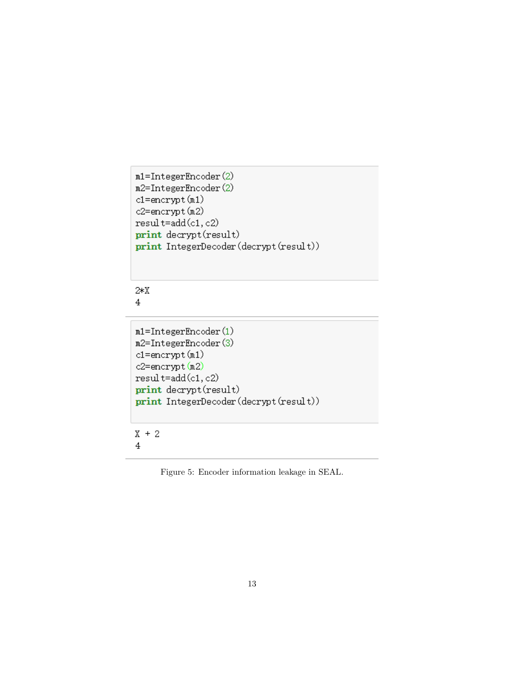```
m1=IntegerEncoder(2)
m2=IntegerEncoder(2)
cl = encrypt(n1)c2=encrypt(m2)
result=add(c1,c2)
print decrypt (result)
print IntegerDecoder (decrypt (result))
```
 $2*X$  $\overline{4}$ 

```
m1 = IntegerEncoder(1)m2=IntegerEncoder(3)
cl = encrypt(n1)c2=encrypt(m2)
result=add(c1,c2)
print decrypt (result)
print IntegerDecoder (decrypt (result))
```
 $X + 2$ 4

Figure 5: Encoder information leakage in SEAL.